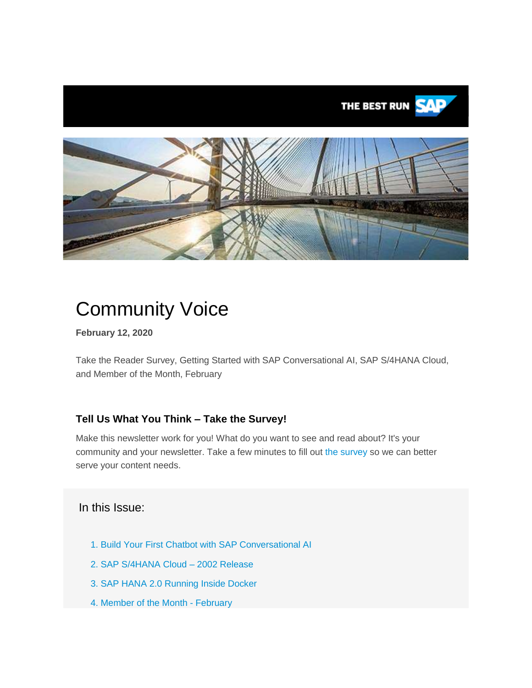

# Community Voice

**February 12, 2020**

Take the Reader Survey, Getting Started with SAP Conversational AI, SAP S/4HANA Cloud, and Member of the Month, February

## **Tell Us What You Think – Take the Survey!**

Make this newsletter work for you! What do you want to see and read about? It's your community and your newsletter. Take a few minutes to fill out [the survey](https://s4cloudae36f1aac.hana.ondemand.com/data-buffer/sap/public/cuan/link/100/50BF25DB2C3EF28BB66439B30B9416A55DA51FD0?_V_=2&_K11_=FF70BF8C7FDC40292EECE1699D30EF235C87A510&_L54AD1F204_=c2NlbmFyaW89TUxDUEcmdGVuYW50PW15MzAwNzIzLnM0aGFuYS5vbmRlbWFuZC5jb20mdGFyZ2V0PWh0dHBzOi8vd3d3LnN1cnZleW1vbmtleS5jb20vci9WUUhCS1JTP3NvdXJjZT1lbWFpbC1nLWNvbW11bml0eS1uZXdzbGV0dGVyLWZlYjIwJnNvaWQ9NTBCRjI1REIyQzNFRjI4QkI2NjQzOUIzMEI5NDE2QTU1REE1MUZEMCZzb3VyY2U9ZW1haWwtc21jLWNvbW11bml0eV92b2ljZQ&_K13_=124&_K14_=f2c1a43751770e4ae133f6dd25ccdb0de991163ee4f9e71ebcb45e9916167080) so we can better serve your content needs.

## In this Issue:

- 1. [Build Your First Chatbot with SAP Conversational AI](#page-1-0)
- 2. [SAP S/4HANA Cloud –](#page-1-1) 2002 Release
- 3. [SAP HANA 2.0 Running Inside Docker](#page-1-2)
- 4. [Member of the Month -](#page-2-0) February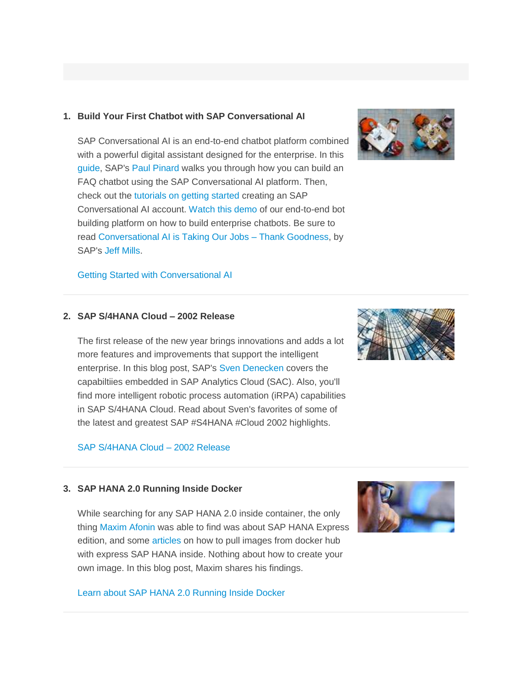#### <span id="page-1-0"></span>**1. Build Your First Chatbot with SAP Conversational AI**

SAP Conversational AI is an end-to-end chatbot platform combined with a powerful digital assistant designed for the enterprise. In this [guide,](https://s4cloudae36f1aac.hana.ondemand.com/data-buffer/sap/public/cuan/link/100/50BF25DB2C3EF28BB66439B30B9416A55DA51FD0?_V_=2&_K11_=2E9A31050C2677A5DC5092DA8E9BDF976A4672D2&_L54AD1F204_=c2NlbmFyaW89TUxDUEcmdGVuYW50PW15MzAwNzIzLnM0aGFuYS5vbmRlbWFuZC5jb20mdGFyZ2V0PWh0dHBzOi8vYmxvZ3Muc2FwLmNvbS8yMDIwLzAxLzEwL2J1aWxkLXlvdXItZmlyc3QtZmFxLWNoYXRib3Qtd2l0aC1zYXAtY29udmVyc2F0aW9uYWwtYWkvP3NvdXJjZT1lbWFpbC1nLWNvbW11bml0eS1uZXdzbGV0dGVyLUZlYjIwJnNhcC1vdXRib3VuZC1pZD01MEJGMjVEQjJDM0VGMjhCQjY2NDM5QjMwQjk0MTZBNTVEQTUxRkQwJnNvdXJjZT1lbWFpbC1zbWMtY29tbXVuaXR5X3ZvaWNl&_K13_=124&_K14_=266133c3a949291032c7d4e85e02a6f11bff9e88c9c7b83bfb3bbd793cf4a029) SAP's [Paul Pinard](https://s4cloudae36f1aac.hana.ondemand.com/data-buffer/sap/public/cuan/link/100/50BF25DB2C3EF28BB66439B30B9416A55DA51FD0?_V_=2&_K11_=5DF912A95DD2580078E5A0D0B7689751B3A4DB57&_L54AD1F204_=c2NlbmFyaW89TUxDUEcmdGVuYW50PW15MzAwNzIzLnM0aGFuYS5vbmRlbWFuZC5jb20mdGFyZ2V0PWh0dHBzOi8vcGVvcGxlLnNhcC5jb20vcGF1bC1waW5hcmQ/c291cmNlPWVtYWlsLWctY29tbXVuaXR5LW5ld3NsZXR0ZXItZmViMjAmc2FwLW91dGJvdW5kLWlkPTUwQkYyNURCMkMzRUYyOEJCNjY0MzlCMzBCOTQxNkE1NURBNTFGRDAmc291cmNlPWVtYWlsLXNtYy1jb21tdW5pdHlfdm9pY2U&_K13_=124&_K14_=fa9cb31a50db6632718be7c78338b801d9fa6f346185a9aac8c364b2a264033a) walks you through how you can build an FAQ chatbot using the SAP Conversational AI platform. Then, check out the [tutorials on getting started](https://s4cloudae36f1aac.hana.ondemand.com/data-buffer/sap/public/cuan/link/100/50BF25DB2C3EF28BB66439B30B9416A55DA51FD0?_V_=2&_K11_=163457EED75684C781D06361D0E015691E239101&_L54AD1F204_=c2NlbmFyaW89TUxDUEcmdGVuYW50PW15MzAwNzIzLnM0aGFuYS5vbmRlbWFuZC5jb20mdGFyZ2V0PWh0dHBzOi8vZGV2ZWxvcGVycy5zYXAuY29tL3R1dG9yaWFscy9jYWktYm90LWdldHRpbmctc3RhcnRlZC5odG1sP3NvdXJjZT1lbWFpbC1nLWNvbW11bml0eS1uZXdzbGV0dGVyLWZlYjIwJnNhcC1vdXRib3VuZC1pZD01MEJGMjVEQjJDM0VGMjhCQjY2NDM5QjMwQjk0MTZBNTVEQTUxRkQwJnNvdXJjZT1lbWFpbC1zbWMtY29tbXVuaXR5X3ZvaWNl&_K13_=124&_K14_=2fc98ec8ddc4ab36a7d4abb0b9384fce4b57879cb7f5f1eab76369a26844a31a) creating an SAP Conversational AI account. [Watch this demo](https://s4cloudae36f1aac.hana.ondemand.com/data-buffer/sap/public/cuan/link/100/50BF25DB2C3EF28BB66439B30B9416A55DA51FD0?_V_=2&_K11_=246BB2E7FD5892F77B16B39D6342D758F6AEC547&_L54AD1F204_=c2NlbmFyaW89TUxDUEcmdGVuYW50PW15MzAwNzIzLnM0aGFuYS5vbmRlbWFuZC5jb20mdGFyZ2V0PWh0dHBzOi8vd3d3LnlvdXR1YmUuY29tL3dhdGNoP3Y9SE5oUHhFOHV4bGsmdD0ycyZzb3VyY2U9ZW1haWwtZy1jb21tdW5pdHktbmV3c2xldHRlci1mZWIyMCZzYXAtb3V0Ym91bmQtaWQ9NTBCRjI1REIyQzNFRjI4QkI2NjQzOUIzMEI5NDE2QTU1REE1MUZEMCZzb3VyY2U9ZW1haWwtc21jLWNvbW11bml0eV92b2ljZQ&_K13_=124&_K14_=ff3493a614ee427ee8dfe366967e8affb0ae1a9cf5b83b2fdf59274060122557) of our end-to-end bot building platform on how to build enterprise chatbots. Be sure to read [Conversational AI is Taking Our Jobs –](https://s4cloudae36f1aac.hana.ondemand.com/data-buffer/sap/public/cuan/link/100/50BF25DB2C3EF28BB66439B30B9416A55DA51FD0?_V_=2&_K11_=8F5D97183BA10C36F496107754A62489BA6F931C&_L54AD1F204_=c2NlbmFyaW89TUxDUEcmdGVuYW50PW15MzAwNzIzLnM0aGFuYS5vbmRlbWFuZC5jb20mdGFyZ2V0PWh0dHBzOi8vYmxvZ3Muc2FwLmNvbS8yMDIwLzAxLzA3L2NvbnZlcnNhdGlvbmFsLWFpLWlzLXRha2luZy1vdXItam9icy10aGFuay1nb29kbmVzcy8/c291cmNlPWVtYWlsLWctY29tbXVuaXR5LW5ld3NsZXR0ZXItRmViMjAmc2FwLW91dGJvdW5kLWlkPTUwQkYyNURCMkMzRUYyOEJCNjY0MzlCMzBCOTQxNkE1NURBNTFGRDAmc291cmNlPWVtYWlsLXNtYy1jb21tdW5pdHlfdm9pY2U&_K13_=124&_K14_=3c7bf64bac86d53b0a969b2d22dcef6d9665a8be78c855bf95e7ac553cc7fdab) Thank Goodness, by SAP's [Jeff Mills.](https://s4cloudae36f1aac.hana.ondemand.com/data-buffer/sap/public/cuan/link/100/50BF25DB2C3EF28BB66439B30B9416A55DA51FD0?_V_=2&_K11_=CA2BED6FD58EE4BE226298A0ACC29E9171F4D177&_L54AD1F204_=c2NlbmFyaW89TUxDUEcmdGVuYW50PW15MzAwNzIzLnM0aGFuYS5vbmRlbWFuZC5jb20mdGFyZ2V0PWh0dHBzOi8vcGVvcGxlLnNhcC5jb20vamVmZi5taWxsczI/c291cmNlPWVtYWlsLWctY29tbXVuaXR5LW5ld3NsZXR0ZXItZmViMjAmc2FwLW91dGJvdW5kLWlkPTUwQkYyNURCMkMzRUYyOEJCNjY0MzlCMzBCOTQxNkE1NURBNTFGRDAmc291cmNlPWVtYWlsLXNtYy1jb21tdW5pdHlfdm9pY2U&_K13_=124&_K14_=317f345bc796fb95e0ded3efaa01c7011417d95bc63e19c45e87aa89d6a9c8b4)



### <span id="page-1-1"></span>**2. SAP S/4HANA Cloud – 2002 Release**

The first release of the new year brings innovations and adds a lot more features and improvements that support the intelligent enterprise. In this blog post, SAP's [Sven Denecken](https://s4cloudae36f1aac.hana.ondemand.com/data-buffer/sap/public/cuan/link/100/50BF25DB2C3EF28BB66439B30B9416A55DA51FD0?_V_=2&_K11_=B104F3D5996EEFD040F02CB470E158645A01CFFB&_L54AD1F204_=c2NlbmFyaW89TUxDUEcmdGVuYW50PW15MzAwNzIzLnM0aGFuYS5vbmRlbWFuZC5jb20mdGFyZ2V0PWh0dHBzOi8vcGVvcGxlLnNhcC5jb20vc3Zlbi5kZW5lY2tlbj9zb3VyY2U9ZW1haWwtZy1jb21tdW5pdHktbmV3c2xldHRlci1mZWIyMCZzYXAtb3V0Ym91bmQtaWQ9NTBCRjI1REIyQzNFRjI4QkI2NjQzOUIzMEI5NDE2QTU1REE1MUZEMCZzb3VyY2U9ZW1haWwtc21jLWNvbW11bml0eV92b2ljZQ&_K13_=124&_K14_=1ad46bcfc2c1c55bb02dae5d918380e2997f7306eb8502840be235851131398e) covers the capabiltiies embedded in SAP Analytics Cloud (SAC). Also, you'll find more intelligent robotic process automation (iRPA) capabilities in SAP S/4HANA Cloud. Read about Sven's favorites of some of the latest and greatest SAP #S4HANA #Cloud 2002 highlights.

#### [SAP S/4HANA Cloud –](https://s4cloudae36f1aac.hana.ondemand.com/data-buffer/sap/public/cuan/link/100/50BF25DB2C3EF28BB66439B30B9416A55DA51FD0?_V_=2&_K11_=8BDCBDAA903C035E998B1BA265521ED464196A20&_L54AD1F204_=c2NlbmFyaW89TUxDUEcmdGVuYW50PW15MzAwNzIzLnM0aGFuYS5vbmRlbWFuZC5jb20mdGFyZ2V0PWh0dHBzOi8vYmxvZ3Muc2FwLmNvbS8yMDIwLzAxLzI5L3NhcC1zLTRoYW5hLWNsb3VkLTIwMDItcmVsZWFzZS8/c291cmNlPWVtYWlsLWctY29tbXVuaXR5LW5ld3NsZXR0ZXItRmViMjAmc2FwLW91dGJvdW5kLWlkPTUwQkYyNURCMkMzRUYyOEJCNjY0MzlCMzBCOTQxNkE1NURBNTFGRDAmc291cmNlPWVtYWlsLXNtYy1jb21tdW5pdHlfdm9pY2U&_K13_=124&_K14_=2e03699d968cb3956eccc99aced319cea74505749d3f1fc82266722e5db9ece9) 2002 Release

#### <span id="page-1-2"></span>**3. SAP HANA 2.0 Running Inside Docker**

While searching for any SAP HANA 2.0 inside container, the only thing [Maxim Afonin](https://s4cloudae36f1aac.hana.ondemand.com/data-buffer/sap/public/cuan/link/100/50BF25DB2C3EF28BB66439B30B9416A55DA51FD0?_V_=2&_K11_=2D6BD8B1FDFEC05387D1CC5573ED6C45A239979A&_L54AD1F204_=c2NlbmFyaW89TUxDUEcmdGVuYW50PW15MzAwNzIzLnM0aGFuYS5vbmRlbWFuZC5jb20mdGFyZ2V0PWh0dHBzOi8vcGVvcGxlLnNhcC5jb20vbWF4aW0uYWZvbmluP3NvdXJjZT1lbWFpbC1nLWNvbW11bml0eS1uZXdzbGV0dGVyLWZlYjIwJnNhcC1vdXRib3VuZC1pZD01MEJGMjVEQjJDM0VGMjhCQjY2NDM5QjMwQjk0MTZBNTVEQTUxRkQwJnNvdXJjZT1lbWFpbC1zbWMtY29tbXVuaXR5X3ZvaWNl&_K13_=124&_K14_=2cc673c284d56ef5218c8f3f46c2e84488e13a475c54fb24bb5ef6662ca6c373) was able to find was about SAP HANA Express edition, and some [articles](https://s4cloudae36f1aac.hana.ondemand.com/data-buffer/sap/public/cuan/link/100/50BF25DB2C3EF28BB66439B30B9416A55DA51FD0?_V_=2&_K11_=E3FD9132603B20C0999AA65F0F58A3A3F0CC74BE&_L54AD1F204_=c2NlbmFyaW89TUxDUEcmdGVuYW50PW15MzAwNzIzLnM0aGFuYS5vbmRlbWFuZC5jb20mdGFyZ2V0PWh0dHBzOi8vZGV2ZWxvcGVycy5zYXAuY29tL3R1dG9yaWFscy9oeGUtdWEtaW5zdGFsbC11c2luZy1kb2NrZXIuaHRtbD9zb3VyY2U9ZW1haWwtZy1jb21tdW5pdHktbmV3c2xldHRlci1mZWIyMCZzYXAtb3V0Ym91bmQtaWQ9NTBCRjI1REIyQzNFRjI4QkI2NjQzOUIzMEI5NDE2QTU1REE1MUZEMCZzb3VyY2U9ZW1haWwtc21jLWNvbW11bml0eV92b2ljZQ&_K13_=124&_K14_=5b4de4aba6d9240fa5733121430bf32d1e8559239ccdfdedd126e36446317d2e) on how to pull images from docker hub with express SAP HANA inside. Nothing about how to create your own image. In this blog post, Maxim shares his findings.

#### [Learn about SAP HANA 2.0 Running Inside Docker](https://s4cloudae36f1aac.hana.ondemand.com/data-buffer/sap/public/cuan/link/100/50BF25DB2C3EF28BB66439B30B9416A55DA51FD0?_V_=2&_K11_=A33D040A2E3468A3204533CCA8D49F4C1D90FB01&_L54AD1F204_=c2NlbmFyaW89TUxDUEcmdGVuYW50PW15MzAwNzIzLnM0aGFuYS5vbmRlbWFuZC5jb20mdGFyZ2V0PWh0dHBzOi8vYmxvZ3Muc2FwLmNvbS8yMDIwLzAxLzIxL2hhbmEtMi4wLXJ1bm5pbmctaW5zaWRlLWRvY2tlci8/c291cmNlPWVtYWlsLWctY29tbXVuaXR5LW5ld3NsZXR0ZXItZmViMjAmc2FwLW91dGJvdW5kLWlkPTUwQkYyNURCMkMzRUYyOEJCNjY0MzlCMzBCOTQxNkE1NURBNTFGRDAmc291cmNlPWVtYWlsLXNtYy1jb21tdW5pdHlfdm9pY2U&_K13_=124&_K14_=786d4c9c9e5a007dfaf6904afc8c4a049a38c8bb0e1133d2920292cf85bbda9b)





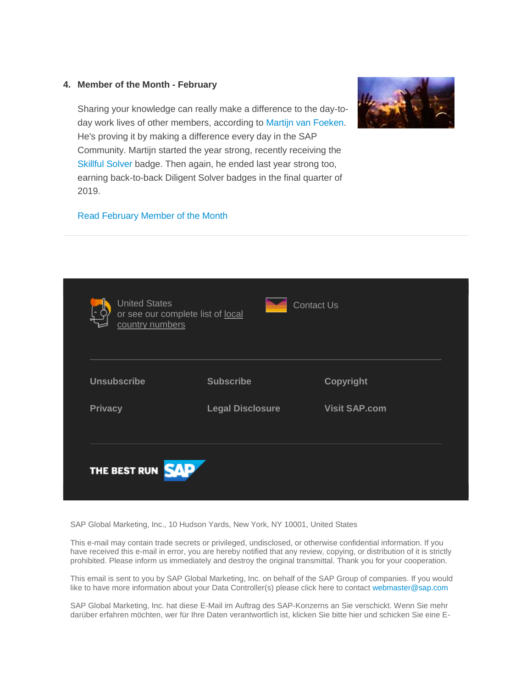#### <span id="page-2-0"></span>**4. Member of the Month - February**



Sharing your knowledge can really make a difference to the day-today work lives of other members, according to [Martijn van Foeken.](https://s4cloudae36f1aac.hana.ondemand.com/data-buffer/sap/public/cuan/link/100/50BF25DB2C3EF28BB66439B30B9416A55DA51FD0?_V_=2&_K11_=FB0FF2C36DE5D9DE1C1B60909157D4FBD151A4C7&_L54AD1F204_=c2NlbmFyaW89TUxDUEcmdGVuYW50PW15MzAwNzIzLnM0aGFuYS5vbmRlbWFuZC5jb20mdGFyZ2V0PWh0dHBzOi8vcGVvcGxlLnNhcC5jb20vZm9la2VubT9zb3VyY2U9ZW1haWwtZy1jb21tdW5pdHktbmV3c2xldHRlci1mZWIyMCZzYXAtb3V0Ym91bmQtaWQ9NTBCRjI1REIyQzNFRjI4QkI2NjQzOUIzMEI5NDE2QTU1REE1MUZEMCZzb3VyY2U9ZW1haWwtc21jLWNvbW11bml0eV92b2ljZQ&_K13_=124&_K14_=1293c11e53b1ffa4407a417735aa5022d0f0077f76541aeac627567813624d03) He's proving it by making a difference every day in the SAP Community. Martijn started the year strong, recently receiving the [Skillful Solver](https://s4cloudae36f1aac.hana.ondemand.com/data-buffer/sap/public/cuan/link/100/50BF25DB2C3EF28BB66439B30B9416A55DA51FD0?_V_=2&_K11_=F64711E63FD6E1B07B343223DDE41707B18D3B23&_L54AD1F204_=c2NlbmFyaW89TUxDUEcmdGVuYW50PW15MzAwNzIzLnM0aGFuYS5vbmRlbWFuZC5jb20mdGFyZ2V0PWh0dHBzOi8vY29tbXVuaXR5LnNhcC5jb20vcmVzb3VyY2VzL21pc3Npb25zLWJhZGdlcz9zb3VyY2U9ZW1haWwtZy1jb21tdW5pdHktbmV3c2xldHRlci1mZWIyMCZzYXAtb3V0Ym91bmQtaWQ9NTBCRjI1REIyQzNFRjI4QkI2NjQzOUIzMEI5NDE2QTU1REE1MUZEMCZzb3VyY2U9ZW1haWwtc21jLWNvbW11bml0eV92b2ljZQ&_K13_=124&_K14_=37f6a57b71224713d46eb6ee1a717ceaa332b1f6b7a96d274ec58bdad1ed8b1b) badge. Then again, he ended last year strong too, earning back-to-back Diligent Solver badges in the final quarter of 2019.

#### [Read February Member of the Month](https://s4cloudae36f1aac.hana.ondemand.com/data-buffer/sap/public/cuan/link/100/50BF25DB2C3EF28BB66439B30B9416A55DA51FD0?_V_=2&_K11_=59EC2EC490A97B7F53E1529F09EAF01FAF3A2486&_L54AD1F204_=c2NlbmFyaW89TUxDUEcmdGVuYW50PW15MzAwNzIzLnM0aGFuYS5vbmRlbWFuZC5jb20mdGFyZ2V0PWh0dHBzOi8vYmxvZ3Muc2FwLmNvbS8yMDIwLzAyLzAzL21hcnRpam4tdmFuLWZvZWtlbi1tZW1iZXItb2YtdGhlLW1vbnRoLWZlYnJ1YXJ5LTIwMjAvP3NvdXJjZT1lbWFpbC1nLWNvbW11bml0eS1uZXdzbGV0dGVyLUZlYjIwJnNhcC1vdXRib3VuZC1pZD01MEJGMjVEQjJDM0VGMjhCQjY2NDM5QjMwQjk0MTZBNTVEQTUxRkQwJnNvdXJjZT1lbWFpbC1zbWMtY29tbXVuaXR5X3ZvaWNl&_K13_=124&_K14_=7a45b716cbaf809ca85de6ec9a00db3adfad63914abd06c9ea0a4c6c88035d10)



SAP Global Marketing, Inc., 10 Hudson Yards, New York, NY 10001, United States

This e-mail may contain trade secrets or privileged, undisclosed, or otherwise confidential information. If you have received this e-mail in error, you are hereby notified that any review, copying, or distribution of it is strictly prohibited. Please inform us immediately and destroy the original transmittal. Thank you for your cooperation.

This email is sent to you by SAP Global Marketing, Inc. on behalf of the SAP Group of companies. If you would like to have more information about your Data Controller(s) please click here to contac[t webmaster@sap.com](mailto:webmaster@sap.com?subject=Information%20Request%20About%20Data%20Controller&body=Please%20let%20me%20know%20who%20my%20data%20controller%20is%20/%20Bitte%20teilen%20Sie%20mir%20mit,%20wer%20für%20meine%20Daten%20verantwortlich%20ist.)

SAP Global Marketing, Inc. hat diese E-Mail im Auftrag des SAP-Konzerns an Sie verschickt. Wenn Sie mehr darüber erfahren möchten, wer für Ihre Daten verantwortlich ist, klicken Sie bitte hier und schicken Sie eine E-